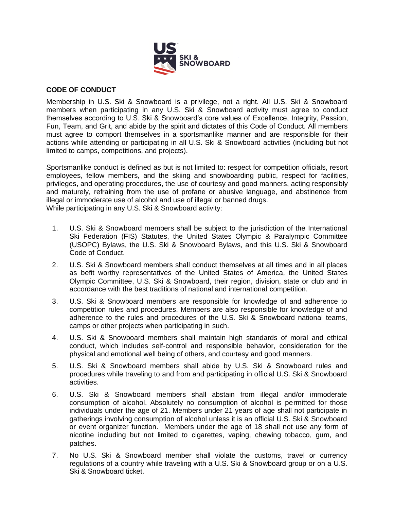

## **CODE OF CONDUCT**

Membership in U.S. Ski & Snowboard is a privilege, not a right. All U.S. Ski & Snowboard members when participating in any U.S. Ski & Snowboard activity must agree to conduct themselves according to U.S. Ski & Snowboard's core values of Excellence, Integrity, Passion, Fun, Team, and Grit, and abide by the spirit and dictates of this Code of Conduct. All members must agree to comport themselves in a sportsmanlike manner and are responsible for their actions while attending or participating in all U.S. Ski & Snowboard activities (including but not limited to camps, competitions, and projects).

Sportsmanlike conduct is defined as but is not limited to: respect for competition officials, resort employees, fellow members, and the skiing and snowboarding public, respect for facilities, privileges, and operating procedures, the use of courtesy and good manners, acting responsibly and maturely, refraining from the use of profane or abusive language, and abstinence from illegal or immoderate use of alcohol and use of illegal or banned drugs. While participating in any U.S. Ski & Snowboard activity:

- 1. U.S. Ski & Snowboard members shall be subject to the jurisdiction of the International Ski Federation (FIS) Statutes, the United States Olympic & Paralympic Committee (USOPC) Bylaws, the U.S. Ski & Snowboard Bylaws, and this U.S. Ski & Snowboard Code of Conduct.
- 2. U.S. Ski & Snowboard members shall conduct themselves at all times and in all places as befit worthy representatives of the United States of America, the United States Olympic Committee, U.S. Ski & Snowboard, their region, division, state or club and in accordance with the best traditions of national and international competition.
- 3. U.S. Ski & Snowboard members are responsible for knowledge of and adherence to competition rules and procedures. Members are also responsible for knowledge of and adherence to the rules and procedures of the U.S. Ski & Snowboard national teams, camps or other projects when participating in such.
- 4. U.S. Ski & Snowboard members shall maintain high standards of moral and ethical conduct, which includes self-control and responsible behavior, consideration for the physical and emotional well being of others, and courtesy and good manners.
- 5. U.S. Ski & Snowboard members shall abide by U.S. Ski & Snowboard rules and procedures while traveling to and from and participating in official U.S. Ski & Snowboard activities.
- 6. U.S. Ski & Snowboard members shall abstain from illegal and/or immoderate consumption of alcohol. Absolutely no consumption of alcohol is permitted for those individuals under the age of 21. Members under 21 years of age shall not participate in gatherings involving consumption of alcohol unless it is an official U.S. Ski & Snowboard or event organizer function. Members under the age of 18 shall not use any form of nicotine including but not limited to cigarettes, vaping, chewing tobacco, gum, and patches.
- 7. No U.S. Ski & Snowboard member shall violate the customs, travel or currency regulations of a country while traveling with a U.S. Ski & Snowboard group or on a U.S. Ski & Snowboard ticket.